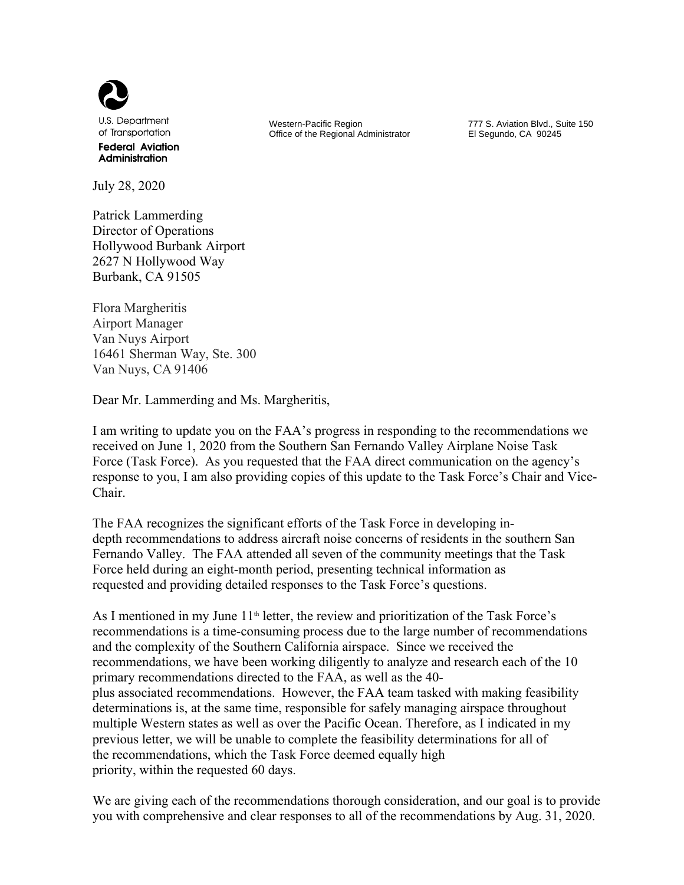

July 28, 2020

Patrick Lammerding Director of Operations Hollywood Burbank Airport 2627 N Hollywood Way Burbank, CA 91505

Flora Margheritis Airport Manager Van Nuys Airport 16461 Sherman Way, Ste. 300 Van Nuys, CA 91406

Dear Mr. Lammerding and Ms. Margheritis,

I am writing to update you on the FAA's progress in responding to the recommendations we received on June 1, 2020 from the Southern San Fernando Valley Airplane Noise Task Force (Task Force). As you requested that the FAA direct communication on the agency's response to you, I am also providing copies of this update to the Task Force's Chair and Vice-Chair.

The FAA recognizes the significant efforts of the Task Force in developing indepth recommendations to address aircraft noise concerns of residents in the southern San Fernando Valley. The FAA attended all seven of the community meetings that the Task Force held during an eight-month period, presenting technical information as requested and providing detailed responses to the Task Force's questions.

As I mentioned in my June 11<sup>th</sup> letter, the review and prioritization of the Task Force's recommendations is a time-consuming process due to the large number of recommendations and the complexity of the Southern California airspace. Since we received the recommendations, we have been working diligently to analyze and research each of the 10 primary recommendations directed to the FAA, as well as the 40 plus associated recommendations. However, the FAA team tasked with making feasibility determinations is, at the same time, responsible for safely managing airspace throughout multiple Western states as well as over the Pacific Ocean. Therefore, as I indicated in my previous letter, we will be unable to complete the feasibility determinations for all of the recommendations, which the Task Force deemed equally high priority, within the requested 60 days.

We are giving each of the recommendations thorough consideration, and our goal is to provide you with comprehensive and clear responses to all of the recommendations by Aug. 31, 2020.

 Western-Pacific Region Office of the Regional Administrator

777 S. Aviation Blvd., Suite 150 El Segundo, CA 90245